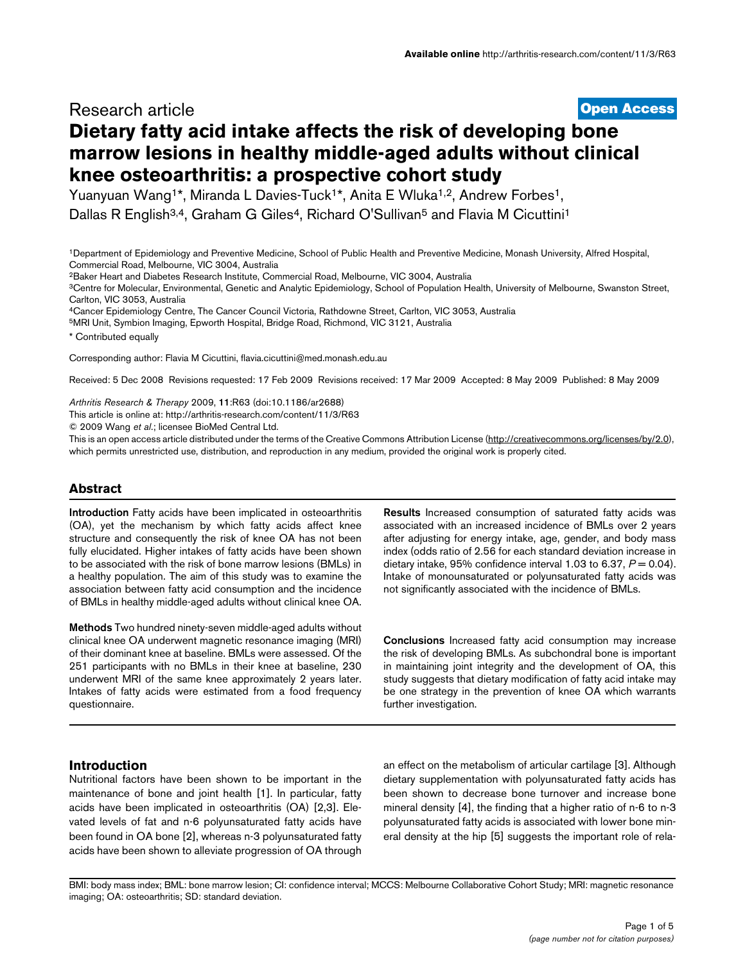# **[Open Access](http://www.biomedcentral.com/info/about/charter/)** Research article **Dietary fatty acid intake affects the risk of developing bone marrow lesions in healthy middle-aged adults without clinical knee osteoarthritis: a prospective cohort study**

Yuanyuan Wang<sup>1\*</sup>, Miranda L Davies-Tuck<sup>1\*</sup>, Anita E Wluka<sup>1,2</sup>, Andrew Forbes<sup>1</sup>, Dallas R English<sup>3,4</sup>, Graham G Giles<sup>4</sup>, Richard O'Sullivan<sup>5</sup> and Flavia M Cicuttini<sup>1</sup>

4Cancer Epidemiology Centre, The Cancer Council Victoria, Rathdowne Street, Carlton, VIC 3053, Australia

5MRI Unit, Symbion Imaging, Epworth Hospital, Bridge Road, Richmond, VIC 3121, Australia

\* Contributed equally

Corresponding author: Flavia M Cicuttini, flavia.cicuttini@med.monash.edu.a[u](http://www.ncbi.nlm.nih.gov/entrez/query.fcgi?cmd=Retrieve&db=PubMed&dopt=Abstract&list_uids=19426478)

Received: 5 Dec 2008 Revisions requested: 17 Feb 2009 Revisions received: 17 Mar 2009 Accepted: 8 May 2009 Published: 8 May 2009

*Arthritis Research & Therapy* 2009, **11**:R63 (doi:10.1186/ar2688)

[This article is online at: http://arthritis-research.com/content/11/3/R63](http://arthritis-research.com/content/11/3/R63)

© 2009 Wang *et al*.; licensee BioMed Central Ltd.

This is an open access article distributed under the terms of the Creative Commons Attribution License [\(http://creativecommons.org/licenses/by/2.0\)](http://creativecommons.org/licenses/by/2.0), which permits unrestricted use, distribution, and reproduction in any medium, provided the original work is properly cited.

### **Abstract**

**Introduction** Fatty acids have been implicated in osteoarthritis (OA), yet the mechanism by which fatty acids affect knee structure and consequently the risk of knee OA has not been fully elucidated. Higher intakes of fatty acids have been shown to be associated with the risk of bone marrow lesions (BMLs) in a healthy population. The aim of this study was to examine the association between fatty acid consumption and the incidence of BMLs in healthy middle-aged adults without clinical knee OA.

**Methods** Two hundred ninety-seven middle-aged adults without clinical knee OA underwent magnetic resonance imaging (MRI) of their dominant knee at baseline. BMLs were assessed. Of the 251 participants with no BMLs in their knee at baseline, 230 underwent MRI of the same knee approximately 2 years later. Intakes of fatty acids were estimated from a food frequency questionnaire.

**Results** Increased consumption of saturated fatty acids was associated with an increased incidence of BMLs over 2 years after adjusting for energy intake, age, gender, and body mass index (odds ratio of 2.56 for each standard deviation increase in dietary intake, 95% confidence interval 1.03 to 6.37,  $P = 0.04$ ). Intake of monounsaturated or polyunsaturated fatty acids was not significantly associated with the incidence of BMLs.

**Conclusions** Increased fatty acid consumption may increase the risk of developing BMLs. As subchondral bone is important in maintaining joint integrity and the development of OA, this study suggests that dietary modification of fatty acid intake may be one strategy in the prevention of knee OA which warrants further investigation.

## **Introduction**

Nutritional factors have been shown to be important in the maintenance of bone and joint health [1]. In particular, fatty acids have been implicated in osteoarthritis (OA) [2,3]. Elevated levels of fat and n-6 polyunsaturated fatty acids have been found in OA bone [2], whereas n-3 polyunsaturated fatty acids have been shown to alleviate progression of OA through

an effect on the metabolism of articular cartilage [3]. Although dietary supplementation with polyunsaturated fatty acids has been shown to decrease bone turnover and increase bone mineral density [4], the finding that a higher ratio of n-6 to n-3 polyunsaturated fatty acids is associated with lower bone mineral density at the hip [5] suggests the important role of rela-

BMI: body mass index; BML: bone marrow lesion; CI: confidence interval; MCCS: Melbourne Collaborative Cohort Study; MRI: magnetic resonance imaging; OA: osteoarthritis; SD: standard deviation.

<sup>1</sup>Department of Epidemiology and Preventive Medicine, School of Public Health and Preventive Medicine, Monash University, Alfred Hospital, Commercial Road, Melbourne, VIC 3004, Australia

<sup>2</sup>Baker Heart and Diabetes Research Institute, Commercial Road, Melbourne, VIC 3004, Australia

<sup>&</sup>lt;sup>3</sup>Centre for Molecular, Environmental, Genetic and Analytic Epidemiology, School of Population Health, University of Melbourne, Swanston Street, Carlton, VIC 3053, Australia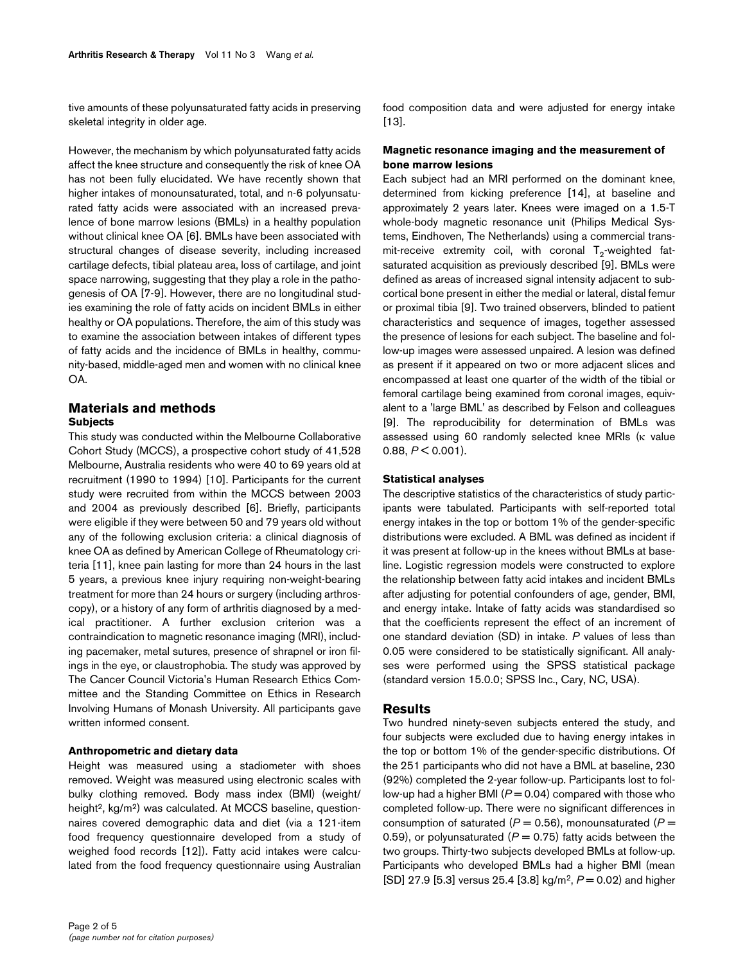tive amounts of these polyunsaturated fatty acids in preserving skeletal integrity in older age.

However, the mechanism by which polyunsaturated fatty acids affect the knee structure and consequently the risk of knee OA has not been fully elucidated. We have recently shown that higher intakes of monounsaturated, total, and n-6 polyunsaturated fatty acids were associated with an increased prevalence of bone marrow lesions (BMLs) in a healthy population without clinical knee OA [6]. BMLs have been associated with structural changes of disease severity, including increased cartilage defects, tibial plateau area, loss of cartilage, and joint space narrowing, suggesting that they play a role in the pathogenesis of OA [7-9]. However, there are no longitudinal studies examining the role of fatty acids on incident BMLs in either healthy or OA populations. Therefore, the aim of this study was to examine the association between intakes of different types of fatty acids and the incidence of BMLs in healthy, community-based, middle-aged men and women with no clinical knee OA.

## **Materials and methods Subjects**

This study was conducted within the Melbourne Collaborative Cohort Study (MCCS), a prospective cohort study of 41,528 Melbourne, Australia residents who were 40 to 69 years old at recruitment (1990 to 1994) [10]. Participants for the current study were recruited from within the MCCS between 2003 and 2004 as previously described [6]. Briefly, participants were eligible if they were between 50 and 79 years old without any of the following exclusion criteria: a clinical diagnosis of knee OA as defined by American College of Rheumatology criteria [11], knee pain lasting for more than 24 hours in the last 5 years, a previous knee injury requiring non-weight-bearing treatment for more than 24 hours or surgery (including arthroscopy), or a history of any form of arthritis diagnosed by a medical practitioner. A further exclusion criterion was a contraindication to magnetic resonance imaging (MRI), including pacemaker, metal sutures, presence of shrapnel or iron filings in the eye, or claustrophobia. The study was approved by The Cancer Council Victoria's Human Research Ethics Committee and the Standing Committee on Ethics in Research Involving Humans of Monash University. All participants gave written informed consent.

### **Anthropometric and dietary data**

Height was measured using a stadiometer with shoes removed. Weight was measured using electronic scales with bulky clothing removed. Body mass index (BMI) (weight/ height<sup>2</sup>, kg/m<sup>2</sup>) was calculated. At MCCS baseline, questionnaires covered demographic data and diet (via a 121-item food frequency questionnaire developed from a study of weighed food records [12]). Fatty acid intakes were calculated from the food frequency questionnaire using Australian food composition data and were adjusted for energy intake [13].

### **Magnetic resonance imaging and the measurement of bone marrow lesions**

Each subject had an MRI performed on the dominant knee, determined from kicking preference [14], at baseline and approximately 2 years later. Knees were imaged on a 1.5-T whole-body magnetic resonance unit (Philips Medical Systems, Eindhoven, The Netherlands) using a commercial transmit-receive extremity coil, with coronal  $T_2$ -weighted fatsaturated acquisition as previously described [9]. BMLs were defined as areas of increased signal intensity adjacent to subcortical bone present in either the medial or lateral, distal femur or proximal tibia [9]. Two trained observers, blinded to patient characteristics and sequence of images, together assessed the presence of lesions for each subject. The baseline and follow-up images were assessed unpaired. A lesion was defined as present if it appeared on two or more adjacent slices and encompassed at least one quarter of the width of the tibial or femoral cartilage being examined from coronal images, equivalent to a 'large BML' as described by Felson and colleagues [9]. The reproducibility for determination of BMLs was assessed using 60 randomly selected knee MRIs (κ value 0.88,  $P < 0.001$ ).

### **Statistical analyses**

The descriptive statistics of the characteristics of study participants were tabulated. Participants with self-reported total energy intakes in the top or bottom 1% of the gender-specific distributions were excluded. A BML was defined as incident if it was present at follow-up in the knees without BMLs at baseline. Logistic regression models were constructed to explore the relationship between fatty acid intakes and incident BMLs after adjusting for potential confounders of age, gender, BMI, and energy intake. Intake of fatty acids was standardised so that the coefficients represent the effect of an increment of one standard deviation (SD) in intake. *P* values of less than 0.05 were considered to be statistically significant. All analyses were performed using the SPSS statistical package (standard version 15.0.0; SPSS Inc., Cary, NC, USA).

#### **Results**

Two hundred ninety-seven subjects entered the study, and four subjects were excluded due to having energy intakes in the top or bottom 1% of the gender-specific distributions. Of the 251 participants who did not have a BML at baseline, 230 (92%) completed the 2-year follow-up. Participants lost to follow-up had a higher BMI ( $P = 0.04$ ) compared with those who completed follow-up. There were no significant differences in consumption of saturated ( $P = 0.56$ ), monounsaturated ( $P =$ 0.59), or polyunsaturated  $(P = 0.75)$  fatty acids between the two groups. Thirty-two subjects developed BMLs at follow-up. Participants who developed BMLs had a higher BMI (mean [SD] 27.9 [5.3] versus 25.4 [3.8] kg/m2, *P* = 0.02) and higher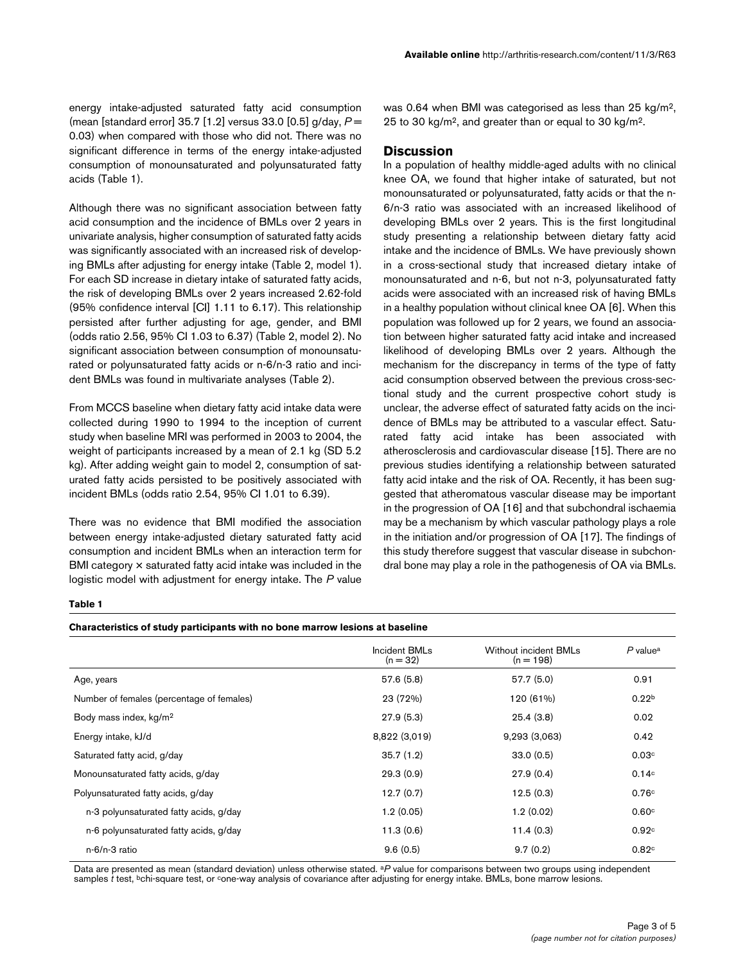energy intake-adjusted saturated fatty acid consumption (mean [standard error] 35.7 [1.2] versus 33.0 [0.5] g/day, *P* = 0.03) when compared with those who did not. There was no significant difference in terms of the energy intake-adjusted consumption of monounsaturated and polyunsaturated fatty acids (Table 1).

Although there was no significant association between fatty acid consumption and the incidence of BMLs over 2 years in univariate analysis, higher consumption of saturated fatty acids was significantly associated with an increased risk of developing BMLs after adjusting for energy intake (Table 2, model 1). For each SD increase in dietary intake of saturated fatty acids, the risk of developing BMLs over 2 years increased 2.62-fold (95% confidence interval [CI] 1.11 to 6.17). This relationship persisted after further adjusting for age, gender, and BMI (odds ratio 2.56, 95% CI 1.03 to 6.37) (Table 2, model 2). No significant association between consumption of monounsaturated or polyunsaturated fatty acids or n-6/n-3 ratio and incident BMLs was found in multivariate analyses (Table 2).

From MCCS baseline when dietary fatty acid intake data were collected during 1990 to 1994 to the inception of current study when baseline MRI was performed in 2003 to 2004, the weight of participants increased by a mean of 2.1 kg (SD 5.2 kg). After adding weight gain to model 2, consumption of saturated fatty acids persisted to be positively associated with incident BMLs (odds ratio 2.54, 95% CI 1.01 to 6.39).

There was no evidence that BMI modified the association between energy intake-adjusted dietary saturated fatty acid consumption and incident BMLs when an interaction term for BMI category  $\times$  saturated fatty acid intake was included in the logistic model with adjustment for energy intake. The *P* value

was 0.64 when BMI was categorised as less than 25 kg/m2, 25 to 30 kg/m2, and greater than or equal to 30 kg/m2.

#### **Discussion**

In a population of healthy middle-aged adults with no clinical knee OA, we found that higher intake of saturated, but not monounsaturated or polyunsaturated, fatty acids or that the n-6/n-3 ratio was associated with an increased likelihood of developing BMLs over 2 years. This is the first longitudinal study presenting a relationship between dietary fatty acid intake and the incidence of BMLs. We have previously shown in a cross-sectional study that increased dietary intake of monounsaturated and n-6, but not n-3, polyunsaturated fatty acids were associated with an increased risk of having BMLs in a healthy population without clinical knee OA [6]. When this population was followed up for 2 years, we found an association between higher saturated fatty acid intake and increased likelihood of developing BMLs over 2 years. Although the mechanism for the discrepancy in terms of the type of fatty acid consumption observed between the previous cross-sectional study and the current prospective cohort study is unclear, the adverse effect of saturated fatty acids on the incidence of BMLs may be attributed to a vascular effect. Saturated fatty acid intake has been associated with atherosclerosis and cardiovascular disease [15]. There are no previous studies identifying a relationship between saturated fatty acid intake and the risk of OA. Recently, it has been suggested that atheromatous vascular disease may be important in the progression of OA [16] and that subchondral ischaemia may be a mechanism by which vascular pathology plays a role in the initiation and/or progression of OA [17]. The findings of this study therefore suggest that vascular disease in subchondral bone may play a role in the pathogenesis of OA via BMLs.

#### **Table 1**

| Characteristics of study participants with no bone marrow lesions at baseline |  |  |
|-------------------------------------------------------------------------------|--|--|
|-------------------------------------------------------------------------------|--|--|

|                                           | Incident BMLs<br>$(n = 32)$ | Without incident BMLs<br>$(n = 198)$ | $P$ value <sup>a</sup> |
|-------------------------------------------|-----------------------------|--------------------------------------|------------------------|
| Age, years                                | 57.6 (5.8)                  | 57.7 (5.0)                           | 0.91                   |
| Number of females (percentage of females) | 23 (72%)                    | 120 (61%)                            | 0.22 <sup>b</sup>      |
| Body mass index, kg/m <sup>2</sup>        | 27.9(5.3)                   | 25.4(3.8)                            | 0.02                   |
| Energy intake, kJ/d                       | 8,822 (3,019)               | 9,293(3,063)                         | 0.42                   |
| Saturated fatty acid, g/day               | 35.7(1.2)                   | 33.0(0.5)                            | 0.03c                  |
| Monounsaturated fatty acids, g/day        | 29.3(0.9)                   | 27.9(0.4)                            | 0.14c                  |
| Polyunsaturated fatty acids, g/day        | 12.7(0.7)                   | 12.5(0.3)                            | 0.76c                  |
| n-3 polyunsaturated fatty acids, g/day    | 1.2(0.05)                   | 1.2(0.02)                            | 0.60c                  |
| n-6 polyunsaturated fatty acids, g/day    | 11.3(0.6)                   | 11.4(0.3)                            | 0.92c                  |
| n-6/n-3 ratio                             | 9.6(0.5)                    | 9.7(0.2)                             | 0.82c                  |

Data are presented as mean (standard deviation) unless otherwise stated. a*P* value for comparisons between two groups using independent samples *t* test, <sup>b</sup>chi-square test, or cone-way analysis of covariance after adjusting for energy intake. BMLs, bone marrow lesions.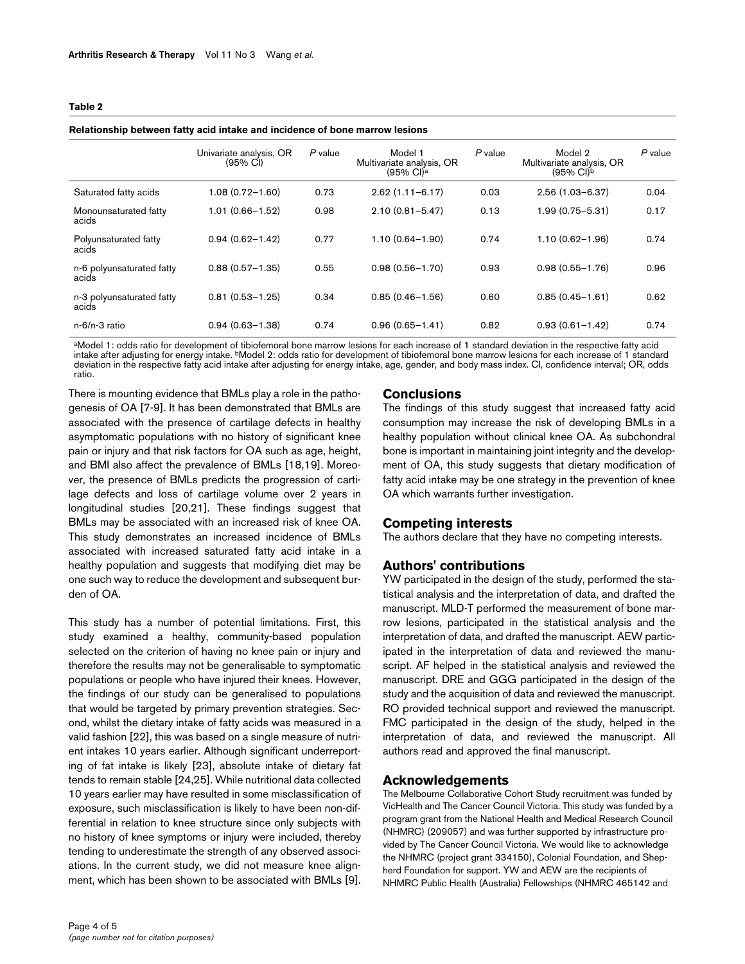| ×<br>. . | ۰. | ×<br>۰. |  |
|----------|----|---------|--|
|----------|----|---------|--|

#### **Relationship between fatty acid intake and incidence of bone marrow lesions**

|                                    | Univariate analysis, OR<br>(95% CI) | $P$ value | Model 1<br>Multivariate analysis, OR<br>$(95% \text{ Cl})^a$ | $P$ value | Model 2<br>Multivariate analysis, OR<br>$(95% \, \text{Cl})^b$ | $P$ value |
|------------------------------------|-------------------------------------|-----------|--------------------------------------------------------------|-----------|----------------------------------------------------------------|-----------|
| Saturated fatty acids              | $1.08(0.72 - 1.60)$                 | 0.73      | $2.62(1.11 - 6.17)$                                          | 0.03      | $2.56(1.03 - 6.37)$                                            | 0.04      |
| Monounsaturated fatty<br>acids     | $1.01(0.66 - 1.52)$                 | 0.98      | $2.10(0.81 - 5.47)$                                          | 0.13      | $1.99(0.75 - 5.31)$                                            | 0.17      |
| Polyunsaturated fatty<br>acids     | $0.94(0.62 - 1.42)$                 | 0.77      | 1.10 (0.64-1.90)                                             | 0.74      | $1.10(0.62 - 1.96)$                                            | 0.74      |
| n-6 polyunsaturated fatty<br>acids | $0.88(0.57 - 1.35)$                 | 0.55      | $0.98(0.56 - 1.70)$                                          | 0.93      | $0.98(0.55 - 1.76)$                                            | 0.96      |
| n-3 polyunsaturated fatty<br>acids | $0.81(0.53 - 1.25)$                 | 0.34      | $0.85(0.46 - 1.56)$                                          | 0.60      | $0.85(0.45 - 1.61)$                                            | 0.62      |
| n-6/n-3 ratio                      | $0.94(0.63 - 1.38)$                 | 0.74      | $0.96(0.65 - 1.41)$                                          | 0.82      | $0.93(0.61 - 1.42)$                                            | 0.74      |

aModel 1: odds ratio for development of tibiofemoral bone marrow lesions for each increase of 1 standard deviation in the respective fatty acid intake after adjusting for energy intake. bModel 2: odds ratio for development of tibiofemoral bone marrow lesions for each increase of 1 standard deviation in the respective fatty acid intake after adjusting for energy intake, age, gender, and body mass index. CI, confidence interval; OR, odds ratio.

There is mounting evidence that BMLs play a role in the pathogenesis of OA [7-9]. It has been demonstrated that BMLs are associated with the presence of cartilage defects in healthy asymptomatic populations with no history of significant knee pain or injury and that risk factors for OA such as age, height, and BMI also affect the prevalence of BMLs [18,19]. Moreover, the presence of BMLs predicts the progression of cartilage defects and loss of cartilage volume over 2 years in longitudinal studies [20,21]. These findings suggest that BMLs may be associated with an increased risk of knee OA. This study demonstrates an increased incidence of BMLs associated with increased saturated fatty acid intake in a healthy population and suggests that modifying diet may be one such way to reduce the development and subsequent burden of OA.

This study has a number of potential limitations. First, this study examined a healthy, community-based population selected on the criterion of having no knee pain or injury and therefore the results may not be generalisable to symptomatic populations or people who have injured their knees. However, the findings of our study can be generalised to populations that would be targeted by primary prevention strategies. Second, whilst the dietary intake of fatty acids was measured in a valid fashion [22], this was based on a single measure of nutrient intakes 10 years earlier. Although significant underreporting of fat intake is likely [23], absolute intake of dietary fat tends to remain stable [24,25]. While nutritional data collected 10 years earlier may have resulted in some misclassification of exposure, such misclassification is likely to have been non-differential in relation to knee structure since only subjects with no history of knee symptoms or injury were included, thereby tending to underestimate the strength of any observed associations. In the current study, we did not measure knee alignment, which has been shown to be associated with BMLs [9].

#### **Conclusions**

The findings of this study suggest that increased fatty acid consumption may increase the risk of developing BMLs in a healthy population without clinical knee OA. As subchondral bone is important in maintaining joint integrity and the development of OA, this study suggests that dietary modification of fatty acid intake may be one strategy in the prevention of knee OA which warrants further investigation.

#### **Competing interests**

The authors declare that they have no competing interests.

#### **Authors' contributions**

YW participated in the design of the study, performed the statistical analysis and the interpretation of data, and drafted the manuscript. MLD-T performed the measurement of bone marrow lesions, participated in the statistical analysis and the interpretation of data, and drafted the manuscript. AEW participated in the interpretation of data and reviewed the manuscript. AF helped in the statistical analysis and reviewed the manuscript. DRE and GGG participated in the design of the study and the acquisition of data and reviewed the manuscript. RO provided technical support and reviewed the manuscript. FMC participated in the design of the study, helped in the interpretation of data, and reviewed the manuscript. All authors read and approved the final manuscript.

#### **Acknowledgements**

The Melbourne Collaborative Cohort Study recruitment was funded by VicHealth and The Cancer Council Victoria. This study was funded by a program grant from the National Health and Medical Research Council (NHMRC) (209057) and was further supported by infrastructure provided by The Cancer Council Victoria. We would like to acknowledge the NHMRC (project grant 334150), Colonial Foundation, and Shepherd Foundation for support. YW and AEW are the recipients of NHMRC Public Health (Australia) Fellowships (NHMRC 465142 and